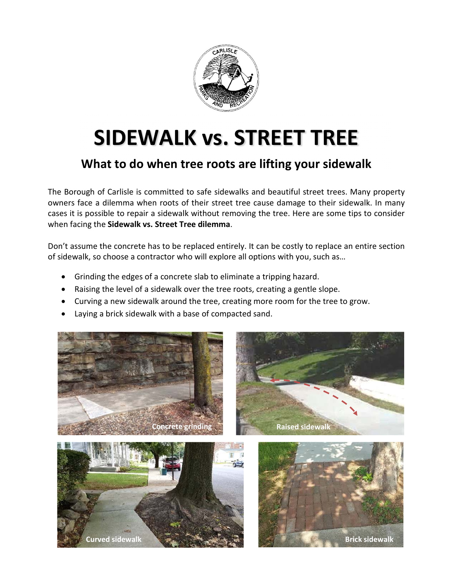

## **SIDEWALK vs. STREET TREE**

## **What to do when tree roots are lifting your sidewalk**

The Borough of Carlisle is committed to safe sidewalks and beautiful street trees. Many property owners face a dilemma when roots of their street tree cause damage to their sidewalk. In many cases it is possible to repair a sidewalk without removing the tree. Here are some tips to consider when facing the **Sidewalk vs. Street Tree dilemma**.

Don't assume the concrete has to be replaced entirely. It can be costly to replace an entire section of sidewalk, so choose a contractor who will explore all options with you, such as…

- Grinding the edges of a concrete slab to eliminate a tripping hazard.
- Raising the level of a sidewalk over the tree roots, creating a gentle slope.
- Curving a new sidewalk around the tree, creating more room for the tree to grow.
- Laying a brick sidewalk with a base of compacted sand.